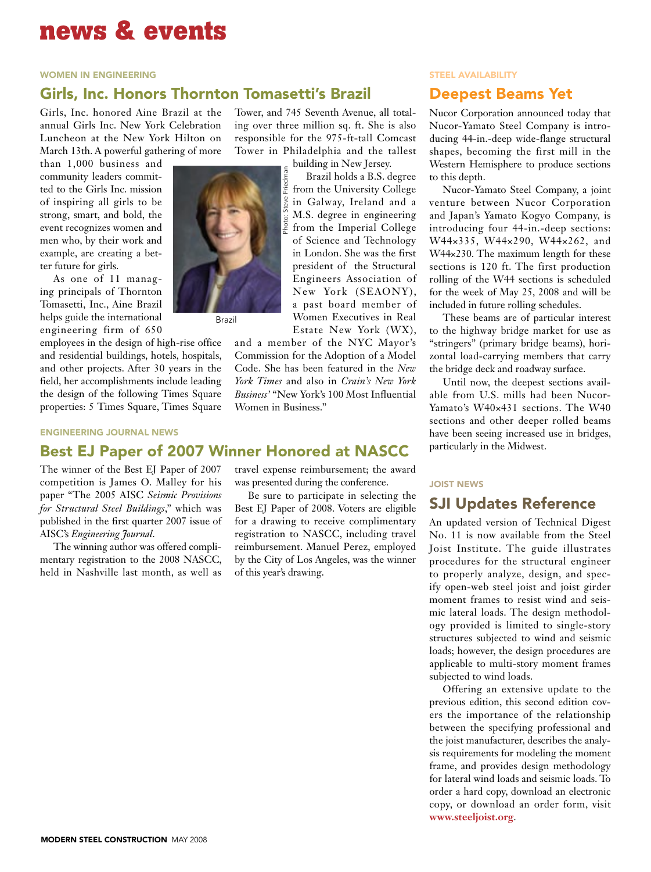# **news & events**

### women in engineering

## Girls, Inc. Honors Thornton Tomasetti's Brazil

Girls, Inc. honored Aine Brazil at the annual Girls Inc. New York Celebration Luncheon at the New York Hilton on March 13th. A powerful gathering of more

than 1,000 business and community leaders committed to the Girls Inc. mission of inspiring all girls to be strong, smart, and bold, the event recognizes women and men who, by their work and example, are creating a better future for girls.

As one of 11 managing principals of Thornton Tomasetti, Inc., Aine Brazil helps guide the international engineering firm of 650

employees in the design of high-rise office and residential buildings, hotels, hospitals, and other projects. After 30 years in the field, her accomplishments include leading the design of the following Times Square properties: 5 Times Square, Times Square

engineering journal news

## Best EJ Paper of 2007 Winner Honored at NASCC

The winner of the Best EJ Paper of 2007 competition is James O. Malley for his paper "The 2005 AISC *Seismic Provisions for Structural Steel Buildings*," which was published in the first quarter 2007 issue of AISC's *Engineering Journal*.

The winning author was offered complimentary registration to the 2008 NASCC, held in Nashville last month, as well as Tower, and 745 Seventh Avenue, all totaling over three million sq. ft. She is also responsible for the 975-ft-tall Comcast Tower in Philadelphia and the tallest

> building in New Jersey. Brazil holds a B.S. degree from the University College in Galway, Ireland and a M.S. degree in engineering from the Imperial College of Science and Technology in London. She was the first president of the Structural Engineers Association of New York (SEAONY), a past board member of Women Executives in Real Estate New York (WX),

and a member of the NYC Mayor's Commission for the Adoption of a Model Code. She has been featured in the *New York Times* and also in *Crain's New York Business'* "New York's 100 Most Influential Women in Business."

### travel expense reimbursement; the award was presented during the conference.

Be sure to participate in selecting the Best EJ Paper of 2008. Voters are eligible for a drawing to receive complimentary registration to NASCC, including travel reimbursement. Manuel Perez, employed by the City of Los Angeles, was the winner of this year's drawing.

## steel availability

## Deepest Beams Yet

Nucor Corporation announced today that Nucor-Yamato Steel Company is introducing 44-in.-deep wide-flange structural shapes, becoming the first mill in the Western Hemisphere to produce sections to this depth.

Nucor-Yamato Steel Company, a joint venture between Nucor Corporation and Japan's Yamato Kogyo Company, is introducing four 44-in.-deep sections: W44×335, W44×290, W44×262, and W44×230. The maximum length for these sections is 120 ft. The first production rolling of the W44 sections is scheduled for the week of May 25, 2008 and will be included in future rolling schedules.

These beams are of particular interest to the highway bridge market for use as "stringers" (primary bridge beams), horizontal load-carrying members that carry the bridge deck and roadway surface.

Until now, the deepest sections available from U.S. mills had been Nucor-Yamato's W40×431 sections. The W40 sections and other deeper rolled beams have been seeing increased use in bridges, particularly in the Midwest.

### Joist news

# SJI Updates Reference

An updated version of Technical Digest No. 11 is now available from the Steel Joist Institute. The guide illustrates procedures for the structural engineer to properly analyze, design, and specify open-web steel joist and joist girder moment frames to resist wind and seismic lateral loads. The design methodology provided is limited to single-story structures subjected to wind and seismic loads; however, the design procedures are applicable to multi-story moment frames subjected to wind loads.

Offering an extensive update to the previous edition, this second edition covers the importance of the relationship between the specifying professional and the joist manufacturer, describes the analysis requirements for modeling the moment frame, and provides design methodology for lateral wind loads and seismic loads. To order a hard copy, download an electronic copy, or download an order form, visit **www.steeljoist.org**.



Brazil